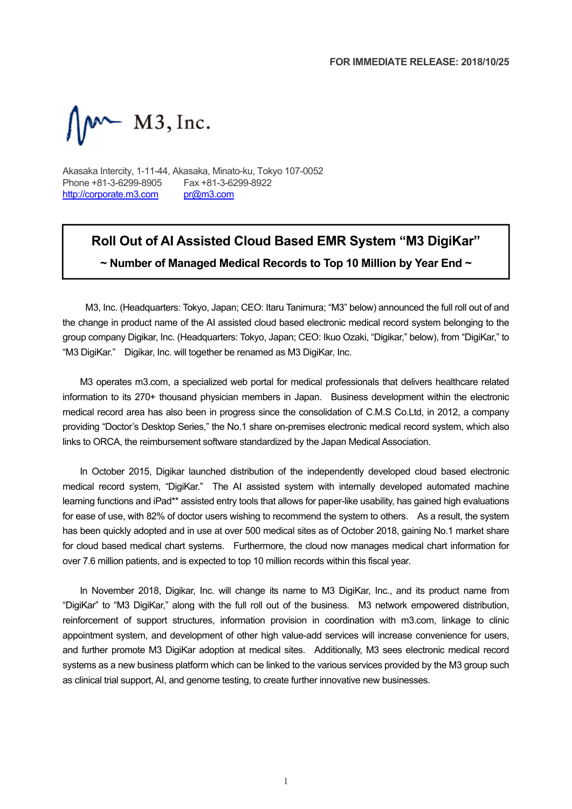$\mathbb{N}^{\mathsf{m}}$  M3, Inc.

Akasaka Intercity, 1-11-44, Akasaka, Minato-ku, Tokyo 107-0052 Phone +81-3-6299-8905 Fax +81-3-6299-8922 http://corporate.m3.com pr@m3.com

# **Roll Out of AI Assisted Cloud Based EMR System "M3 DigiKar"**

**~ Number of Managed Medical Records to Top 10 Million by Year End ~**

M3, Inc. (Headquarters: Tokyo, Japan; CEO: Itaru Tanimura; "M3" below) announced the full roll out of and the change in product name of the AI assisted cloud based electronic medical record system belonging to the group company Digikar, Inc. (Headquarters: Tokyo, Japan; CEO: Ikuo Ozaki, "Digikar," below), from "DigiKar," to "M3 DigiKar." Digikar, Inc. will together be renamed as M3 DigiKar, Inc.

M3 operates m3.com, a specialized web portal for medical professionals that delivers healthcare related information to its 270+ thousand physician members in Japan. Business development within the electronic medical record area has also been in progress since the consolidation of C.M.S Co.Ltd, in 2012, a company providing "Doctor's Desktop Series," the No.1 share on-premises electronic medical record system, which also links to ORCA, the reimbursement software standardized by the Japan Medical Association.

In October 2015, Digikar launched distribution of the independently developed cloud based electronic medical record system, "DigiKar." The AI assisted system with internally developed automated machine learning functions and iPad\*\* assisted entry tools that allows for paper-like usability, has gained high evaluations for ease of use, with 82% of doctor users wishing to recommend the system to others. As a result, the system has been quickly adopted and in use at over 500 medical sites as of October 2018, gaining No.1 market share for cloud based medical chart systems. Furthermore, the cloud now manages medical chart information for over 7.6 million patients, and is expected to top 10 million records within this fiscal year.

In November 2018, Digikar, Inc. will change its name to M3 DigiKar, Inc., and its product name from "DigiKar" to "M3 DigiKar," along with the full roll out of the business. M3 network empowered distribution, reinforcement of support structures, information provision in coordination with m3.com, linkage to clinic appointment system, and development of other high value-add services will increase convenience for users, and further promote M3 DigiKar adoption at medical sites. Additionally, M3 sees electronic medical record systems as a new business platform which can be linked to the various services provided by the M3 group such as clinical trial support, AI, and genome testing, to create further innovative new businesses.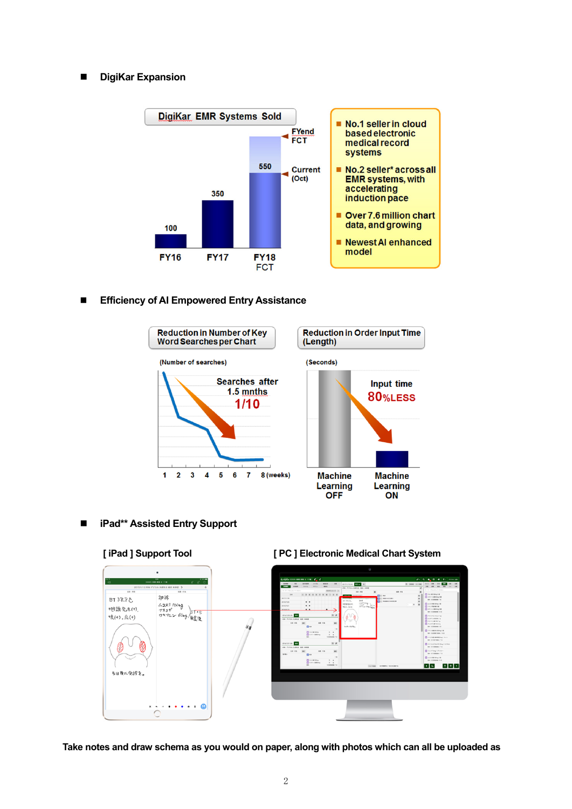## **DigiKar Expansion**



## **Efficiency of AI Empowered Entry Assistance**



**iPad\*\* Assisted Entry Support** 



#### **[ iPad ] Support Tool [ PC ] Electronic Medical Chart System**

**Take notes and draw schema as you would on paper, along with photos which can all be uploaded as**